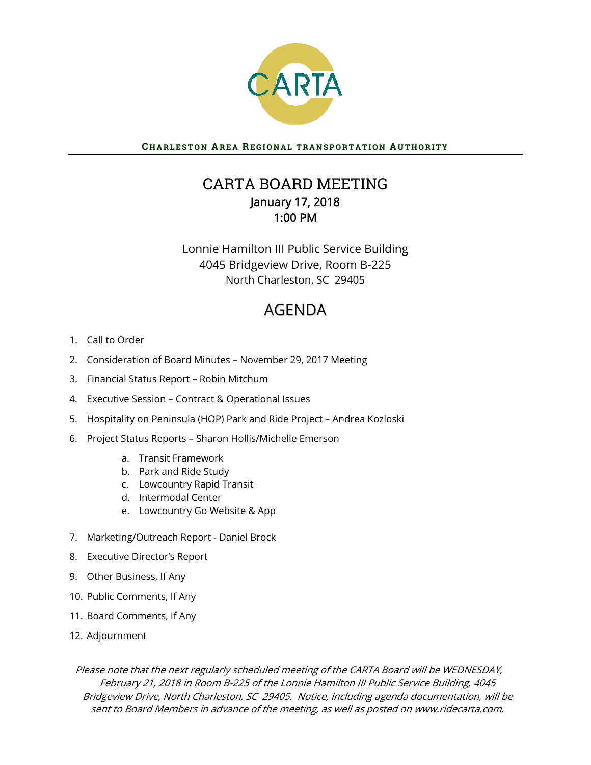

## CHARLESTON AREA REGIONAL TRANSPORTATION AUTHORITY

# CARTA BOARD MEETING January 17, 2018 1:00 PM

Lonnie Hamilton III Public Service Building 4045 Bridgeview Drive, Room B-225 North Charleston, SC 29405

# AGENDA

- 1. Call to Order
- 2. Consideration of Board Minutes November 29, 2017 Meeting
- 3. Financial Status Report Robin Mitchum
- 4. Executive Session Contract & Operational Issues
- 5. Hospitality on Peninsula (HOP) Park and Ride Project Andrea Kozloski
- 6. Project Status Reports Sharon Hollis/Michelle Emerson
	- a. Transit Framework
	- b. Park and Ride Study
	- c. Lowcountry Rapid Transit
	- d. Intermodal Center
	- e. Lowcountry Go Website & App
- 7. Marketing/Outreach Report Daniel Brock
- 8. Executive Director's Report
- 9. Other Business, If Any
- 10. Public Comments, If Any
- 11. Board Comments, If Any
- 12. Adjournment

Please note that the next regularly scheduled meeting of the CARTA Board will be WEDNESDAY, February 21, 2018 in Room B-225 of the Lonnie Hamilton III Public Service Building, 4045 Bridgeview Drive, North Charleston, SC 29405. Notice, including agenda documentation, will be sent to Board Members in advance of the meeting, as well as posted on www.ridecarta.com.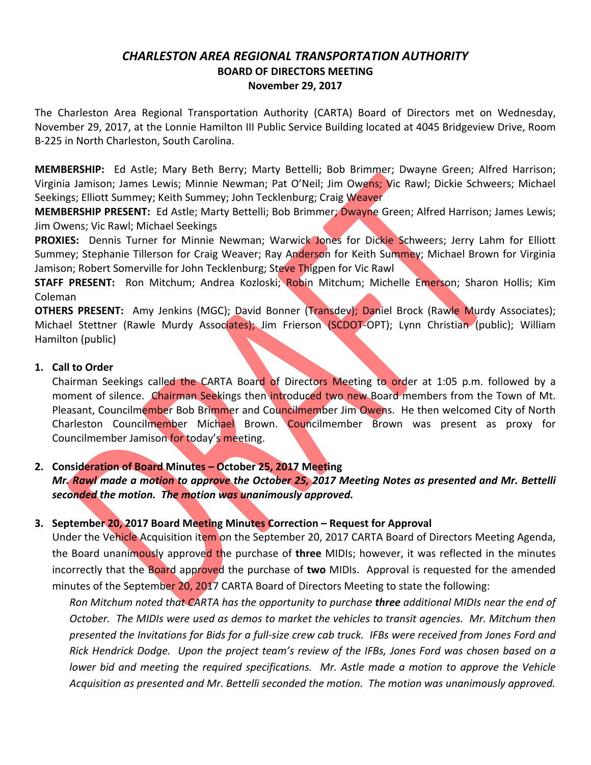## *CHARLESTON AREA REGIONAL TRANSPORTATION AUTHORITY* **BOARD OF DIRECTORS MEETING November 29, 2017**

The Charleston Area Regional Transportation Authority (CARTA) Board of Directors met on Wednesday, November 29, 2017, at the Lonnie Hamilton III Public Service Building located at 4045 Bridgeview Drive, Room B‐225 in North Charleston, South Carolina.

**MEMBERSHIP:**  Ed Astle; Mary Beth Berry; Marty Bettelli; Bob Brimmer; Dwayne Green; Alfred Harrison; Virginia Jamison; James Lewis; Minnie Newman; Pat O'Neil; Jim Owens; Vic Rawl; Dickie Schweers; Michael Seekings; Elliott Summey; Keith Summey; John Tecklenburg; Craig Weaver

**MEMBERSHIP PRESENT:** Ed Astle; Marty Bettelli; Bob Brimmer; Dwayne Green; Alfred Harrison; James Lewis; Jim Owens; Vic Rawl; Michael Seekings

**PROXIES:** Dennis Turner for Minnie Newman; Warwick Jones for Dickie Schweers; Jerry Lahm for Elliott Summey; Stephanie Tillerson for Craig Weaver; Ray Anderson for Keith Summey; Michael Brown for Virginia Jamison; Robert Somerville for John Tecklenburg; Steve Thigpen for Vic Rawl

**STAFF PRESENT:** Ron Mitchum; Andrea Kozloski; Robin Mitchum; Michelle Emerson; Sharon Hollis; Kim Coleman

**OTHERS PRESENT:** Amy Jenkins (MGC); David Bonner (Transdev); Daniel Brock (Rawle Murdy Associates); Michael Stettner (Rawle Murdy Associates); Jim Frierson (SCDOT-OPT); Lynn Christian (public); William Hamilton (public)

#### **1. Call to Order**

Chairman Seekings called the CARTA Board of Directors Meeting to order at 1:05 p.m. followed by a moment of silence. Chairman Seekings then introduced two new Board members from the Town of Mt. Pleasant, Councilmember Bob Brimmer and Councilmember Jim Owens. He then welcomed City of North Charleston Councilmember Michael Brown. Councilmember Brown was present as proxy for Councilmember Jamison for today's meeting.

## **2. Consideration of Board Minutes – October 25, 2017 Meeting**

## *Mr. Rawl made a motion to approve the October 25, 2017 Meeting Notes as presented and Mr. Bettelli seconded the motion. The motion was unanimously approved.*

## **3. September 20, 2017 Board Meeting Minutes Correction – Request for Approval**

Under the Vehicle Acquisition item on the September 20, 2017 CARTA Board of Directors Meeting Agenda, the Board unanimously approved the purchase of **three** MIDIs; however, it was reflected in the minutes incorrectly that the Board approved the purchase of **two** MIDIs. Approval is requested for the amended minutes of the September 20, 2017 CARTA Board of Directors Meeting to state the following:

*Ron Mitchum noted that CARTA has the opportunity to purchase three additional MIDIs near the end of* October. The MIDIs were used as demos to market the vehicles to transit agencies. Mr. Mitchum then presented the Invitations for Bids for a full-size crew cab truck. IFBs were received from Jones Ford and Rick Hendrick Dodge. Upon the project team's review of the IFBs, Jones Ford was chosen based on a *lower bid and meeting the required specifications. Mr. Astle made a motion to approve the Vehicle Acquisition as presented and Mr. Bettelli seconded the motion. The motion was unanimously approved.*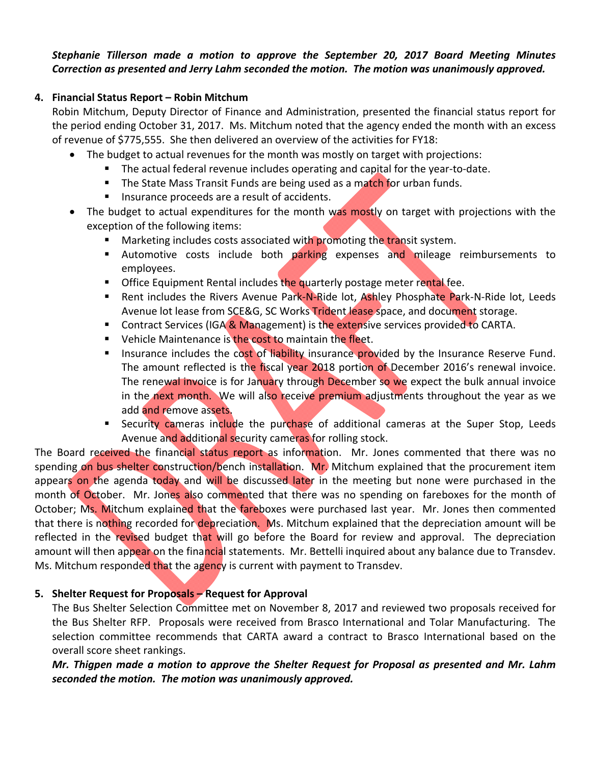#### *Stephanie Tillerson made a motion to approve the September 20, 2017 Board Meeting Minutes Correction as presented and Jerry Lahm seconded the motion. The motion was unanimously approved.*

## **4. Financial Status Report – Robin Mitchum**

Robin Mitchum, Deputy Director of Finance and Administration, presented the financial status report for the period ending October 31, 2017. Ms. Mitchum noted that the agency ended the month with an excess of revenue of \$775,555. She then delivered an overview of the activities for FY18:

- The budget to actual revenues for the month was mostly on target with projections:
	- The actual federal revenue includes operating and capital for the year-to-date.
	- The State Mass Transit Funds are being used as a match for urban funds.
	- **Insurance proceeds are a result of accidents.**
- The budget to actual expenditures for the month was mostly on target with projections with the exception of the following items:
	- **Marketing includes costs associated with promoting the transit system.**
	- Automotive costs include both parking expenses and mileage reimbursements to employees.
	- **Office Equipment Rental includes the quarterly postage meter rental fee.**
	- Rent includes the Rivers Avenue Park-N-Ride lot, Ashley Phosphate Park-N-Ride lot, Leeds Avenue lot lease from SCE&G, SC Works Trident lease space, and document storage.
	- **Contract Services (IGA & Management) is the extensive services provided to CARTA.**
	- Vehicle Maintenance is the cost to maintain the fleet.
	- Insurance includes the cost of liability insurance provided by the Insurance Reserve Fund. The amount reflected is the fiscal year 2018 portion of December 2016's renewal invoice. The renewal invoice is for January through December so we expect the bulk annual invoice in the next month. We will also receive premium adjustments throughout the year as we add and remove assets.
	- Security cameras include the purchase of additional cameras at the Super Stop, Leeds Avenue and additional security cameras for rolling stock.

The Board received the financial status report as information. Mr. Jones commented that there was no spending on bus shelter construction/bench installation. Mr. Mitchum explained that the procurement item appears on the agenda today and will be discussed later in the meeting but none were purchased in the month of October. Mr. Jones also commented that there was no spending on fareboxes for the month of October; Ms. Mitchum explained that the fareboxes were purchased last year. Mr. Jones then commented that there is nothing recorded for depreciation. Ms. Mitchum explained that the depreciation amount will be reflected in the revised budget that will go before the Board for review and approval. The depreciation amount will then appear on the financial statements. Mr. Bettelli inquired about any balance due to Transdev. Ms. Mitchum responded that the agency is current with payment to Transdev.

## **5. Shelter Request for Proposals – Request for Approval**

The Bus Shelter Selection Committee met on November 8, 2017 and reviewed two proposals received for the Bus Shelter RFP. Proposals were received from Brasco International and Tolar Manufacturing. The selection committee recommends that CARTA award a contract to Brasco International based on the overall score sheet rankings.

*Mr. Thigpen made a motion to approve the Shelter Request for Proposal as presented and Mr. Lahm seconded the motion. The motion was unanimously approved.*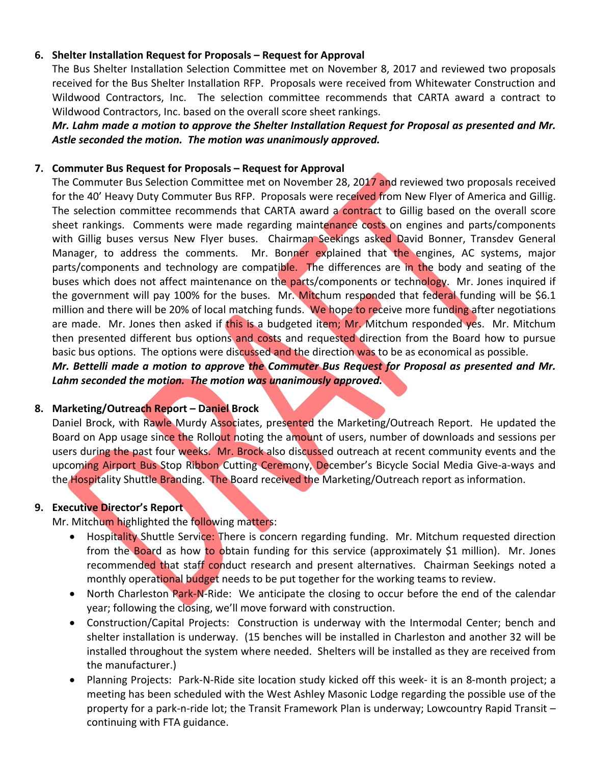#### **6. Shelter Installation Request for Proposals – Request for Approval**

The Bus Shelter Installation Selection Committee met on November 8, 2017 and reviewed two proposals received for the Bus Shelter Installation RFP. Proposals were received from Whitewater Construction and Wildwood Contractors, Inc. The selection committee recommends that CARTA award a contract to Wildwood Contractors, Inc. based on the overall score sheet rankings.

*Mr. Lahm made a motion to approve the Shelter Installation Request for Proposal as presented and Mr. Astle seconded the motion. The motion was unanimously approved.*

#### **7. Commuter Bus Request for Proposals – Request for Approval**

The Commuter Bus Selection Committee met on November 28, 2017 and reviewed two proposals received for the 40' Heavy Duty Commuter Bus RFP. Proposals were received from New Flyer of America and Gillig. The selection committee recommends that CARTA award a contract to Gillig based on the overall score sheet rankings. Comments were made regarding maintenance costs on engines and parts/components with Gillig buses versus New Flyer buses. Chairman Seekings asked David Bonner, Transdev General Manager, to address the comments. Mr. Bonner explained that the engines, AC systems, major parts/components and technology are compatible. The differences are in the body and seating of the buses which does not affect maintenance on the parts/components or technology. Mr. Jones inquired if the government will pay 100% for the buses. Mr. Mitchum responded that federal funding will be \$6.1 million and there will be 20% of local matching funds. We hope to receive more funding after negotiations are made. Mr. Jones then asked if this is a budgeted item; Mr. Mitchum responded yes. Mr. Mitchum then presented different bus options and costs and requested direction from the Board how to pursue basic bus options. The options were discussed and the direction was to be as economical as possible.

*Mr. Bettelli made a motion to approve the Commuter Bus Request for Proposal as presented and Mr. Lahm seconded the motion. The motion was unanimously approved.*

#### **8. Marketing/Outreach Report – Daniel Brock**

Daniel Brock, with Rawle Murdy Associates, presented the Marketing/Outreach Report. He updated the Board on App usage since the Rollout noting the amount of users, number of downloads and sessions per users during the past four weeks. Mr. Brock also discussed outreach at recent community events and the upcoming Airport Bus Stop Ribbon Cutting Ceremony, December's Bicycle Social Media Give-a-ways and the Hospitality Shuttle Branding. The Board received the Marketing/Outreach report as information.

#### **9. Executive Director's Report**

Mr. Mitchum highlighted the following matters:

- Hospitality Shuttle Service: There is concern regarding funding. Mr. Mitchum requested direction from the Board as how to obtain funding for this service (approximately \$1 million). Mr. Jones recommended that staff conduct research and present alternatives. Chairman Seekings noted a monthly operational budget needs to be put together for the working teams to review.
- North Charleston Park-N-Ride: We anticipate the closing to occur before the end of the calendar year; following the closing, we'll move forward with construction.
- Construction/Capital Projects: Construction is underway with the Intermodal Center; bench and shelter installation is underway. (15 benches will be installed in Charleston and another 32 will be installed throughout the system where needed. Shelters will be installed as they are received from the manufacturer.)
- Planning Projects: Park‐N‐Ride site location study kicked off this week‐ it is an 8‐month project; a meeting has been scheduled with the West Ashley Masonic Lodge regarding the possible use of the property for a park‐n‐ride lot; the Transit Framework Plan is underway; Lowcountry Rapid Transit – continuing with FTA guidance.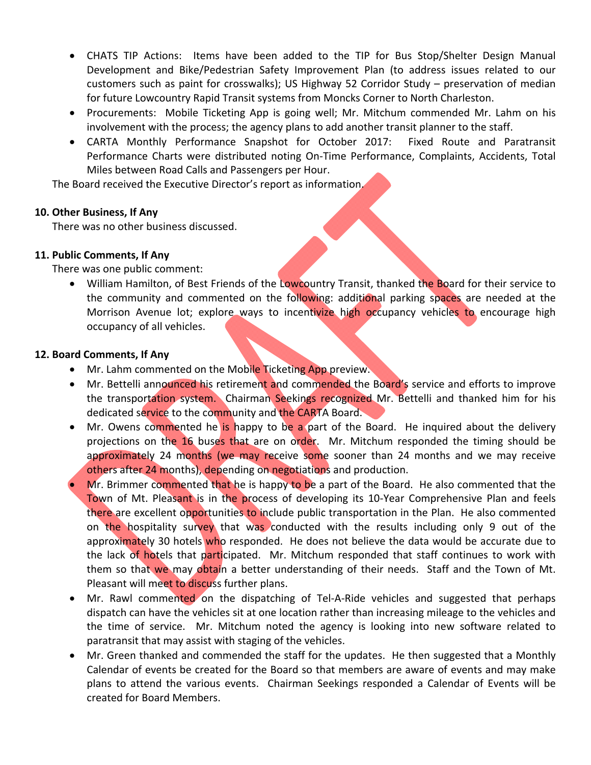- CHATS TIP Actions: Items have been added to the TIP for Bus Stop/Shelter Design Manual Development and Bike/Pedestrian Safety Improvement Plan (to address issues related to our customers such as paint for crosswalks); US Highway 52 Corridor Study – preservation of median for future Lowcountry Rapid Transit systems from Moncks Corner to North Charleston.
- Procurements: Mobile Ticketing App is going well; Mr. Mitchum commended Mr. Lahm on his involvement with the process; the agency plans to add another transit planner to the staff.
- CARTA Monthly Performance Snapshot for October 2017: Fixed Route and Paratransit Performance Charts were distributed noting On‐Time Performance, Complaints, Accidents, Total Miles between Road Calls and Passengers per Hour.

The Board received the Executive Director's report as information.

#### **10. Other Business, If Any**

There was no other business discussed.

## **11. Public Comments, If Any**

There was one public comment:

• William Hamilton, of Best Friends of the Lowcountry Transit, thanked the Board for their service to the community and commented on the following: additional parking spaces are needed at the Morrison Avenue lot; explore ways to incentivize high occupancy vehicles to encourage high occupancy of all vehicles.

#### **12. Board Comments, If Any**

- Mr. Lahm commented on the Mobile Ticketing App preview.
- Mr. Bettelli announced his retirement and commended the Board's service and efforts to improve the transportation system. Chairman Seekings recognized Mr. Bettelli and thanked him for his dedicated service to the community and the CARTA Board.
- Mr. Owens commented he is happy to be a part of the Board. He inquired about the delivery projections on the 16 buses that are on order. Mr. Mitchum responded the timing should be approximately 24 months (we may receive some sooner than 24 months and we may receive others after 24 months), depending on negotiations and production.
- Mr. Brimmer commented that he is happy to be a part of the Board. He also commented that the Town of Mt. Pleasant is in the process of developing its 10-Year Comprehensive Plan and feels there are excellent opportunities to include public transportation in the Plan. He also commented on the hospitality survey that was conducted with the results including only 9 out of the approximately 30 hotels who responded. He does not believe the data would be accurate due to the lack of hotels that participated. Mr. Mitchum responded that staff continues to work with them so that we may obtain a better understanding of their needs. Staff and the Town of Mt. Pleasant will meet to discuss further plans.
- Mr. Rawl commented on the dispatching of Tel-A-Ride vehicles and suggested that perhaps dispatch can have the vehicles sit at one location rather than increasing mileage to the vehicles and the time of service. Mr. Mitchum noted the agency is looking into new software related to paratransit that may assist with staging of the vehicles.
- Mr. Green thanked and commended the staff for the updates. He then suggested that a Monthly Calendar of events be created for the Board so that members are aware of events and may make plans to attend the various events. Chairman Seekings responded a Calendar of Events will be created for Board Members.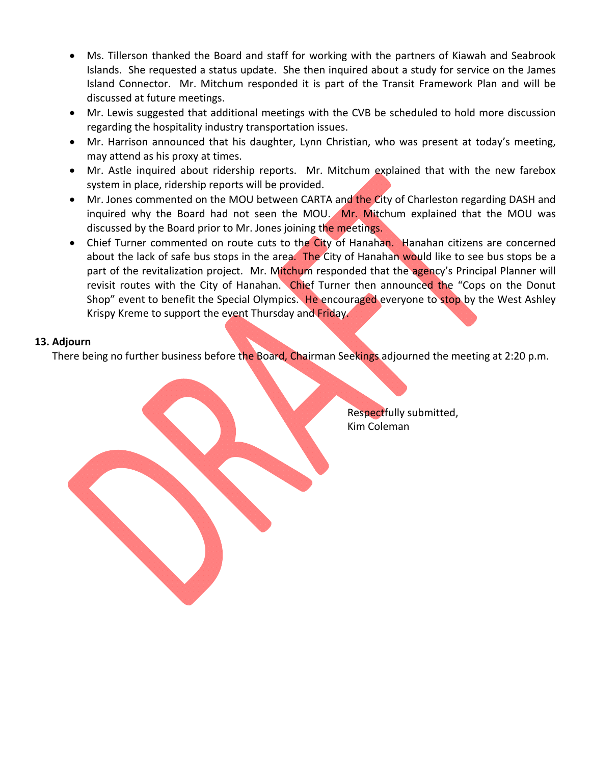- Ms. Tillerson thanked the Board and staff for working with the partners of Kiawah and Seabrook Islands. She requested a status update. She then inquired about a study for service on the James Island Connector. Mr. Mitchum responded it is part of the Transit Framework Plan and will be discussed at future meetings.
- Mr. Lewis suggested that additional meetings with the CVB be scheduled to hold more discussion regarding the hospitality industry transportation issues.
- Mr. Harrison announced that his daughter, Lynn Christian, who was present at today's meeting, may attend as his proxy at times.
- Mr. Astle inquired about ridership reports. Mr. Mitchum explained that with the new farebox system in place, ridership reports will be provided.
- Mr. Jones commented on the MOU between CARTA and the City of Charleston regarding DASH and inquired why the Board had not seen the MOU. Mr. Mitchum explained that the MOU was discussed by the Board prior to Mr. Jones joining the meetings.
- Chief Turner commented on route cuts to the City of Hanahan. Hanahan citizens are concerned about the lack of safe bus stops in the area. The City of Hanahan would like to see bus stops be a part of the revitalization project. Mr. Mitchum responded that the agency's Principal Planner will revisit routes with the City of Hanahan. Chief Turner then announced the "Cops on the Donut Shop" event to benefit the Special Olympics. He encouraged everyone to stop by the West Ashley Krispy Kreme to support the event Thursday and Friday.

#### **13. Adjourn**

the contract of the contract of the contract of the contract of the contract of

There being no further business before the Board, Chairman Seekings adjourned the meeting at 2:20 p.m.

 Respectfully submitted, Kim Coleman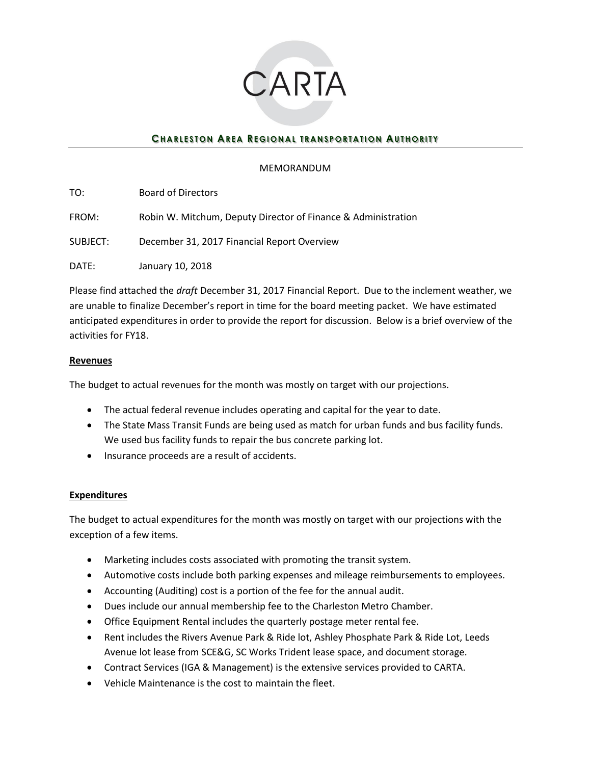

## **CHARLESTON AREA REGIONAL TRANSPORTATION AUTHORITY**

#### MEMORANDUM

| TO:      | <b>Board of Directors</b>                                     |
|----------|---------------------------------------------------------------|
| FROM:    | Robin W. Mitchum, Deputy Director of Finance & Administration |
| SUBJECT: | December 31, 2017 Financial Report Overview                   |
| DATE:    | January 10, 2018                                              |

Please find attached the *draft* December 31, 2017 Financial Report. Due to the inclement weather, we are unable to finalize December's report in time for the board meeting packet. We have estimated anticipated expenditures in order to provide the report for discussion. Below is a brief overview of the activities for FY18.

#### **Revenues**

The budget to actual revenues for the month was mostly on target with our projections.

- The actual federal revenue includes operating and capital for the year to date.
- The State Mass Transit Funds are being used as match for urban funds and bus facility funds. We used bus facility funds to repair the bus concrete parking lot.
- Insurance proceeds are a result of accidents.

#### **Expenditures**

The budget to actual expenditures for the month was mostly on target with our projections with the exception of a few items.

- Marketing includes costs associated with promoting the transit system.
- Automotive costs include both parking expenses and mileage reimbursements to employees.
- Accounting (Auditing) cost is a portion of the fee for the annual audit.
- Dues include our annual membership fee to the Charleston Metro Chamber.
- Office Equipment Rental includes the quarterly postage meter rental fee.
- Rent includes the Rivers Avenue Park & Ride lot, Ashley Phosphate Park & Ride Lot, Leeds Avenue lot lease from SCE&G, SC Works Trident lease space, and document storage.
- Contract Services (IGA & Management) is the extensive services provided to CARTA.
- Vehicle Maintenance is the cost to maintain the fleet.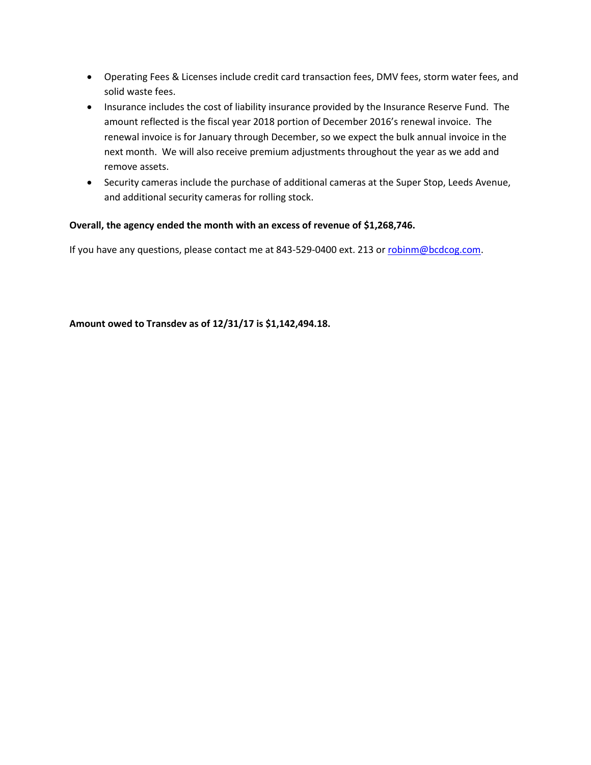- Operating Fees & Licenses include credit card transaction fees, DMV fees, storm water fees, and solid waste fees.
- Insurance includes the cost of liability insurance provided by the Insurance Reserve Fund. The amount reflected is the fiscal year 2018 portion of December 2016's renewal invoice. The renewal invoice is for January through December, so we expect the bulk annual invoice in the next month. We will also receive premium adjustments throughout the year as we add and remove assets.
- Security cameras include the purchase of additional cameras at the Super Stop, Leeds Avenue, and additional security cameras for rolling stock.

#### **Overall, the agency ended the month with an excess of revenue of \$1,268,746.**

If you have any questions, please contact me at 843-529-0400 ext. 213 or [robinm@bcdcog.com.](mailto:robinm@bcdcog.com)

**Amount owed to Transdev as of 12/31/17 is \$1,142,494.18.**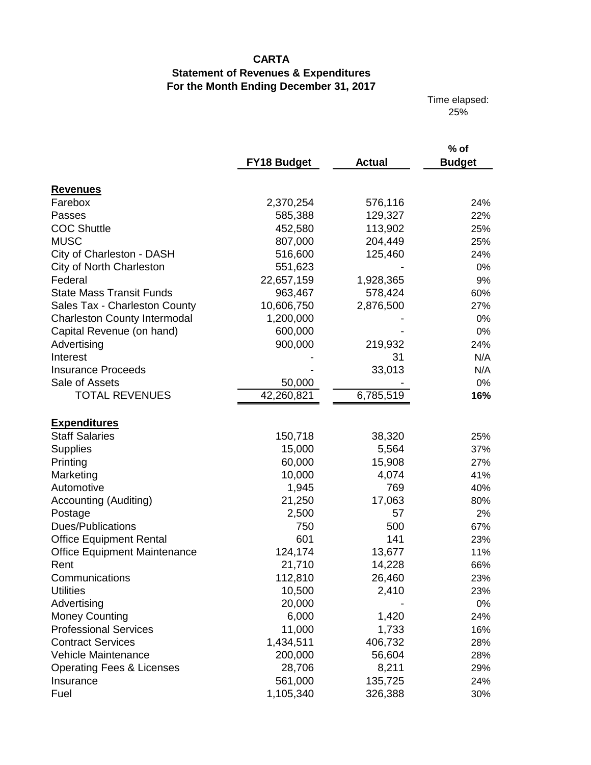# **CARTA**

# **Statement of Revenues & Expenditures For the Month Ending December 31, 2017**

Time elapsed: 25%

|                                                       | <b>FY18 Budget</b> | <b>Actual</b> | % of<br><b>Budget</b> |
|-------------------------------------------------------|--------------------|---------------|-----------------------|
|                                                       |                    |               |                       |
| <b>Revenues</b><br>Farebox                            | 2,370,254          | 576,116       | 24%                   |
| Passes                                                | 585,388            | 129,327       | 22%                   |
| <b>COC Shuttle</b>                                    | 452,580            | 113,902       | 25%                   |
| <b>MUSC</b>                                           | 807,000            | 204,449       | 25%                   |
|                                                       | 516,600            | 125,460       | 24%                   |
| City of Charleston - DASH<br>City of North Charleston | 551,623            |               | $0\%$                 |
| Federal                                               |                    |               |                       |
| <b>State Mass Transit Funds</b>                       | 22,657,159         | 1,928,365     | 9%                    |
|                                                       | 963,467            | 578,424       | 60%                   |
| Sales Tax - Charleston County                         | 10,606,750         | 2,876,500     | 27%                   |
| <b>Charleston County Intermodal</b>                   | 1,200,000          |               | 0%                    |
| Capital Revenue (on hand)                             | 600,000            |               | 0%                    |
| Advertising                                           | 900,000            | 219,932       | 24%                   |
| Interest                                              |                    | 31            | N/A                   |
| <b>Insurance Proceeds</b>                             |                    | 33,013        | N/A                   |
| Sale of Assets                                        | 50,000             |               | 0%                    |
| <b>TOTAL REVENUES</b>                                 | 42,260,821         | 6,785,519     | 16%                   |
|                                                       |                    |               |                       |
| <b>Expenditures</b>                                   |                    |               |                       |
| <b>Staff Salaries</b>                                 | 150,718            | 38,320        | 25%                   |
| <b>Supplies</b>                                       | 15,000             | 5,564         | 37%                   |
| Printing                                              | 60,000             | 15,908        | 27%                   |
| Marketing                                             | 10,000             | 4,074         | 41%                   |
| Automotive                                            | 1,945              | 769           | 40%                   |
| Accounting (Auditing)                                 | 21,250             | 17,063        | 80%                   |
| Postage                                               | 2,500              | 57            | 2%                    |
| Dues/Publications                                     | 750                | 500           | 67%                   |
| <b>Office Equipment Rental</b>                        | 601                | 141           | 23%                   |
| <b>Office Equipment Maintenance</b>                   | 124,174            | 13,677        | 11%                   |
| Rent                                                  | 21,710             | 14,228        | 66%                   |
| Communications                                        | 112,810            | 26,460        | 23%                   |
| <b>Utilities</b>                                      | 10,500             | 2,410         | 23%                   |
| Advertising                                           | 20,000             |               | 0%                    |
| <b>Money Counting</b>                                 | 6,000              | 1,420         | 24%                   |
| <b>Professional Services</b>                          | 11,000             | 1,733         | 16%                   |
| <b>Contract Services</b>                              | 1,434,511          | 406,732       | 28%                   |
| Vehicle Maintenance                                   | 200,000            | 56,604        | 28%                   |
| <b>Operating Fees &amp; Licenses</b>                  | 28,706             | 8,211         | 29%                   |
| Insurance                                             | 561,000            | 135,725       | 24%                   |
| Fuel                                                  | 1,105,340          | 326,388       | 30%                   |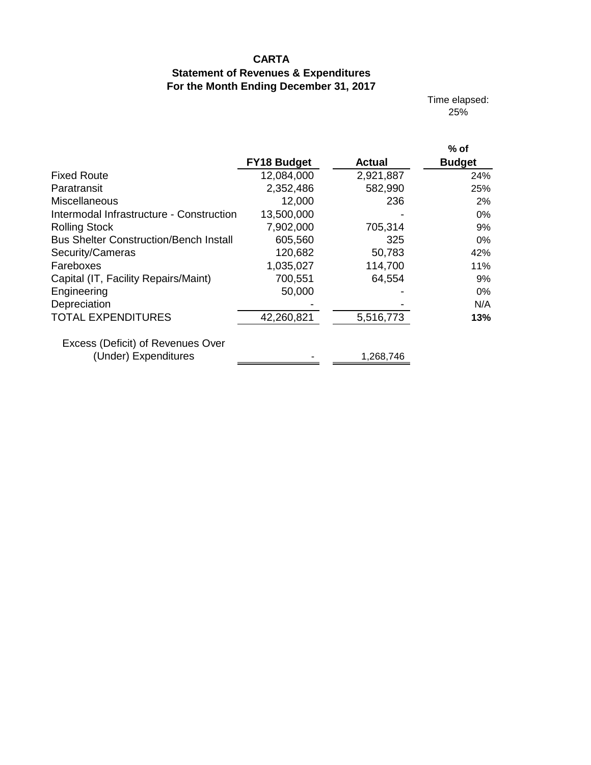# **CARTA**

# **Statement of Revenues & Expenditures For the Month Ending December 31, 2017**

Time elapsed: 25%

|                                                           | <b>FY18 Budget</b> | Actual    | $%$ of<br><b>Budget</b> |
|-----------------------------------------------------------|--------------------|-----------|-------------------------|
| <b>Fixed Route</b>                                        | 12,084,000         | 2,921,887 | 24%                     |
| Paratransit                                               | 2,352,486          | 582,990   | 25%                     |
| Miscellaneous                                             | 12,000             | 236       | 2%                      |
| Intermodal Infrastructure - Construction                  | 13,500,000         |           | $0\%$                   |
| <b>Rolling Stock</b>                                      | 7,902,000          | 705,314   | 9%                      |
| <b>Bus Shelter Construction/Bench Install</b>             | 605,560            | 325       | $0\%$                   |
| Security/Cameras                                          | 120,682            | 50,783    | 42%                     |
| Fareboxes                                                 | 1,035,027          | 114,700   | 11%                     |
| Capital (IT, Facility Repairs/Maint)                      | 700,551            | 64,554    | 9%                      |
| Engineering                                               | 50,000             |           | $0\%$                   |
| Depreciation                                              |                    |           | N/A                     |
| <b>TOTAL EXPENDITURES</b>                                 | 42,260,821         | 5,516,773 | 13%                     |
| Excess (Deficit) of Revenues Over<br>(Under) Expenditures |                    | 1,268,746 |                         |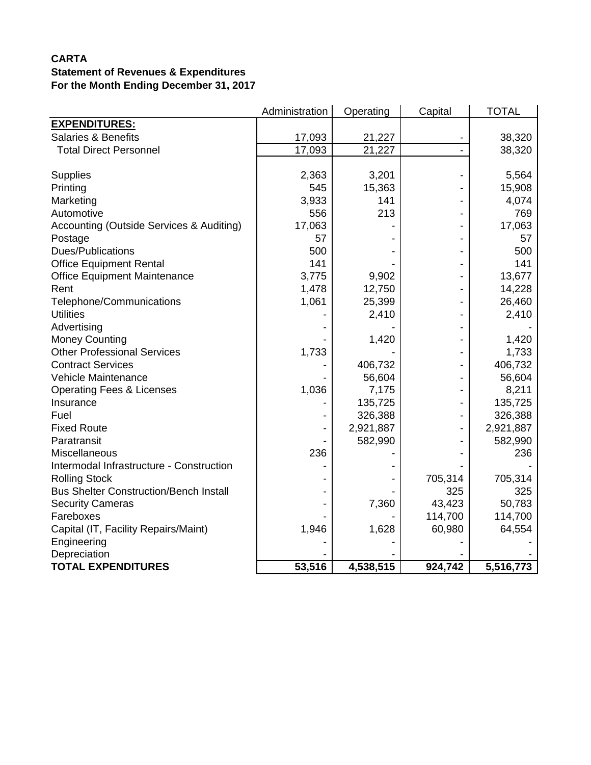## **CARTA Statement of Revenues & Expenditures For the Month Ending December 31, 2017**

|                                               | Administration | Operating | Capital | <b>TOTAL</b> |
|-----------------------------------------------|----------------|-----------|---------|--------------|
| <b>EXPENDITURES:</b>                          |                |           |         |              |
| <b>Salaries &amp; Benefits</b>                | 17,093         | 21,227    |         | 38,320       |
| <b>Total Direct Personnel</b>                 | 17,093         | 21,227    |         | 38,320       |
|                                               |                |           |         |              |
| <b>Supplies</b>                               | 2,363          | 3,201     |         | 5,564        |
| Printing                                      | 545            | 15,363    |         | 15,908       |
| Marketing                                     | 3,933          | 141       |         | 4,074        |
| Automotive                                    | 556            | 213       |         | 769          |
| Accounting (Outside Services & Auditing)      | 17,063         |           |         | 17,063       |
| Postage                                       | 57             |           |         | 57           |
| Dues/Publications                             | 500            |           |         | 500          |
| <b>Office Equipment Rental</b>                | 141            |           |         | 141          |
| <b>Office Equipment Maintenance</b>           | 3,775          | 9,902     |         | 13,677       |
| Rent                                          | 1,478          | 12,750    |         | 14,228       |
| Telephone/Communications                      | 1,061          | 25,399    |         | 26,460       |
| <b>Utilities</b>                              |                | 2,410     |         | 2,410        |
| Advertising                                   |                |           |         |              |
| <b>Money Counting</b>                         |                | 1,420     |         | 1,420        |
| <b>Other Professional Services</b>            | 1,733          |           |         | 1,733        |
| <b>Contract Services</b>                      |                | 406,732   |         | 406,732      |
| Vehicle Maintenance                           |                | 56,604    |         | 56,604       |
| <b>Operating Fees &amp; Licenses</b>          | 1,036          | 7,175     |         | 8,211        |
| Insurance                                     |                | 135,725   |         | 135,725      |
| Fuel                                          |                | 326,388   |         | 326,388      |
| <b>Fixed Route</b>                            |                | 2,921,887 |         | 2,921,887    |
| Paratransit                                   |                | 582,990   |         | 582,990      |
| Miscellaneous                                 | 236            |           |         | 236          |
| Intermodal Infrastructure - Construction      |                |           |         |              |
| <b>Rolling Stock</b>                          |                |           | 705,314 | 705,314      |
| <b>Bus Shelter Construction/Bench Install</b> |                |           | 325     | 325          |
| <b>Security Cameras</b>                       |                | 7,360     | 43,423  | 50,783       |
| Fareboxes                                     |                |           | 114,700 | 114,700      |
| Capital (IT, Facility Repairs/Maint)          | 1,946          | 1,628     | 60,980  | 64,554       |
| Engineering                                   |                |           |         |              |
| Depreciation                                  |                |           |         |              |
| <b>TOTAL EXPENDITURES</b>                     | 53,516         | 4,538,515 | 924,742 | 5,516,773    |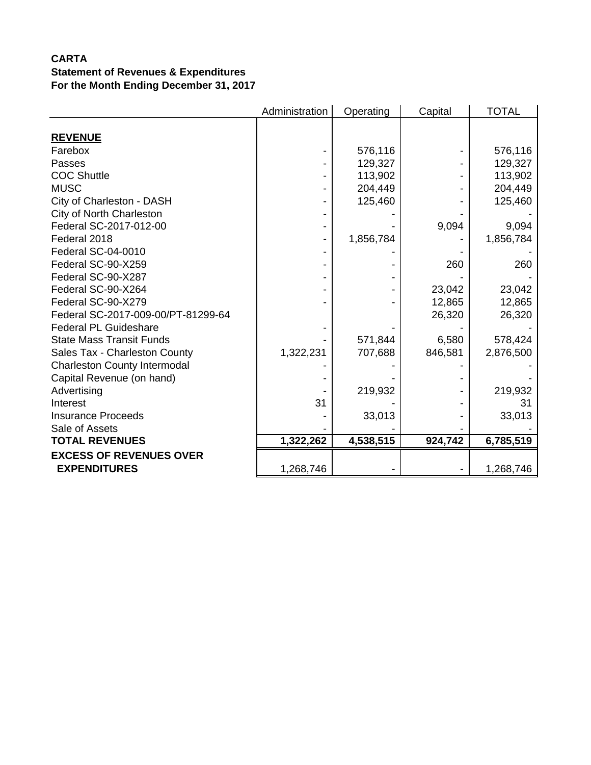## **CARTA Statement of Revenues & Expenditures For the Month Ending December 31, 2017**

|                                     | Administration | Operating | Capital | <b>TOTAL</b> |
|-------------------------------------|----------------|-----------|---------|--------------|
|                                     |                |           |         |              |
| <b>REVENUE</b>                      |                |           |         |              |
| Farebox                             |                | 576,116   |         | 576,116      |
| Passes                              |                | 129,327   |         | 129,327      |
| <b>COC Shuttle</b>                  |                | 113,902   |         | 113,902      |
| <b>MUSC</b>                         |                | 204,449   |         | 204,449      |
| City of Charleston - DASH           |                | 125,460   |         | 125,460      |
| City of North Charleston            |                |           |         |              |
| Federal SC-2017-012-00              |                |           | 9,094   | 9,094        |
| Federal 2018                        |                | 1,856,784 |         | 1,856,784    |
| Federal SC-04-0010                  |                |           |         |              |
| Federal SC-90-X259                  |                |           | 260     | 260          |
| Federal SC-90-X287                  |                |           |         |              |
| Federal SC-90-X264                  |                |           | 23,042  | 23,042       |
| Federal SC-90-X279                  |                |           | 12,865  | 12,865       |
| Federal SC-2017-009-00/PT-81299-64  |                |           | 26,320  | 26,320       |
| <b>Federal PL Guideshare</b>        |                |           |         |              |
| <b>State Mass Transit Funds</b>     |                | 571,844   | 6,580   | 578,424      |
| Sales Tax - Charleston County       | 1,322,231      | 707,688   | 846,581 | 2,876,500    |
| <b>Charleston County Intermodal</b> |                |           |         |              |
| Capital Revenue (on hand)           |                |           |         |              |
| Advertising                         |                | 219,932   |         | 219,932      |
| Interest                            | 31             |           |         | 31           |
| <b>Insurance Proceeds</b>           |                | 33,013    |         | 33,013       |
| Sale of Assets                      |                |           |         |              |
| <b>TOTAL REVENUES</b>               | 1,322,262      | 4,538,515 | 924,742 | 6,785,519    |
| <b>EXCESS OF REVENUES OVER</b>      |                |           |         |              |
| <b>EXPENDITURES</b>                 | 1,268,746      |           |         | 1,268,746    |